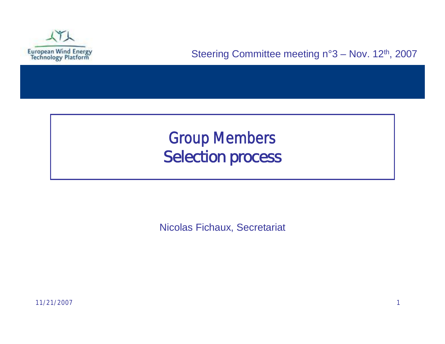

## Group Members *Selection process*

Nicolas Fichaux, Secretariat

11/21/2007 1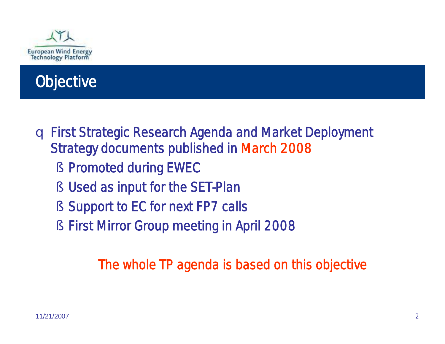



- q First Strategic Research Agenda and Market Deployment Strategy documents published in March 2008
	- § Promoted during EWEC
	- § Used as input for the SET-Plan
	- § Support to EC for next FP7 calls
	- § First Mirror Group meeting in April 2008

The whole TP agenda is based on this objective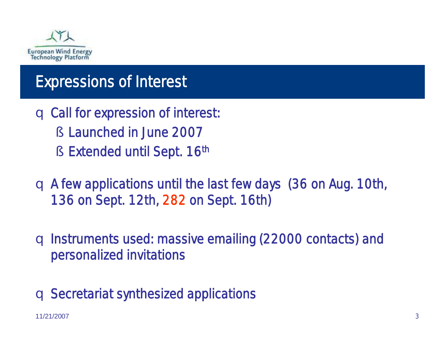

#### Expressions of Interest

- q Call for expression of interest:
	- § Launched in June 2007
	- § Extended until Sept. 16th
- q A few applications until the last few days (36 on Aug. 10th, 136 on Sept. 12th, 282 on Sept. 16th)

q Instruments used: massive emailing (22000 contacts) and personalized invitations

q Secretariat synthesized applications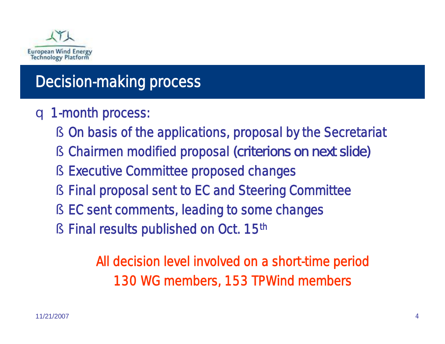

### Decision-making process

- q 1-month process:
	- § On basis of the applications, proposal by the Secretariat
	- § Chairmen modified proposal *(criterions on next slide)*
	- § Executive Committee proposed changes
	- § Final proposal sent to EC and Steering Committee
	- § EC sent comments, leading to some changes
	- § Final results published on Oct. 15<sup>th</sup>

All decision level involved on a short-time period 130 WG members, 153 TPWind members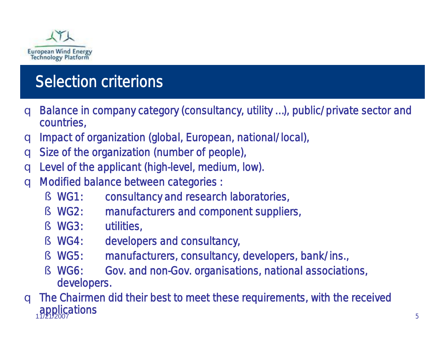

# Selection criterions

- q Balance in company category (consultancy, utility …), public/private sector and countries,
- q Impact of organization (global, European, national/local),
- q Size of the organization (number of people),
- q Level of the applicant (high-level, medium, low).
- q Modified balance between categories :
	- § WG1: consultancy and research laboratories,
	- § WG2: manufacturers and component suppliers,
	- § WG3: utilities,
	- § WG4: developers and consultancy,
	- § WG5: manufacturers, consultancy, developers, bank/ins.,
	- § WG6: Gov. and non-Gov. organisations, national associations, developers.

11/21/2007 5 q The Chairmen did their best to meet these requirements, with the received applications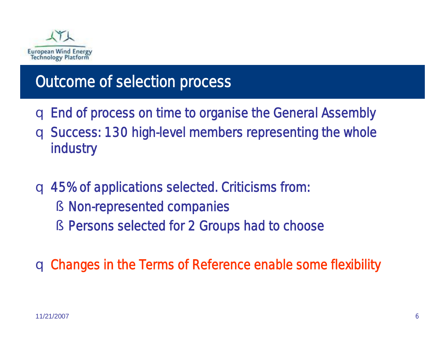

### Outcome of selection process

- q End of process on time to organise the General Assembly
- q Success: 130 high-level members representing the whole industry
- q 45% of applications selected. Criticisms from:
	- § Non-represented companies
	- § Persons selected for 2 Groups had to choose

q Changes in the Terms of Reference enable some flexibility